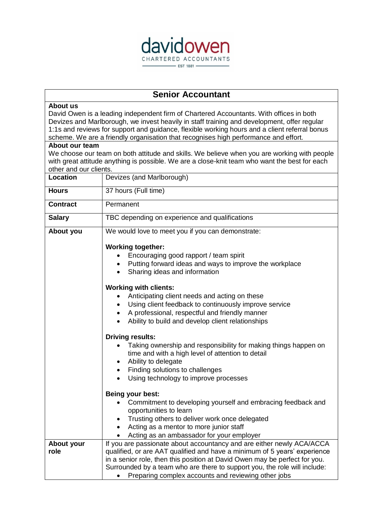

## **Senior Accountant**

## **About us**

David Owen is a leading independent firm of Chartered Accountants. With offices in both Devizes and Marlborough, we invest heavily in staff training and development, offer regular 1:1s and reviews for support and guidance, flexible working hours and a client referral bonus scheme. We are a friendly organisation that recognises high performance and effort.

## **About our team**

We choose our team on both attitude and skills. We believe when you are working with people with great attitude anything is possible. We are a close-knit team who want the best for each other and our clients.

| <b>Location</b>    | Devizes (and Marlborough)                                                                                                                                                                                                                                                                                                                                            |
|--------------------|----------------------------------------------------------------------------------------------------------------------------------------------------------------------------------------------------------------------------------------------------------------------------------------------------------------------------------------------------------------------|
| <b>Hours</b>       | 37 hours (Full time)                                                                                                                                                                                                                                                                                                                                                 |
| <b>Contract</b>    | Permanent                                                                                                                                                                                                                                                                                                                                                            |
| <b>Salary</b>      | TBC depending on experience and qualifications                                                                                                                                                                                                                                                                                                                       |
| About you          | We would love to meet you if you can demonstrate:                                                                                                                                                                                                                                                                                                                    |
|                    | <b>Working together:</b><br>Encouraging good rapport / team spirit<br>Putting forward ideas and ways to improve the workplace<br>Sharing ideas and information<br>$\bullet$                                                                                                                                                                                          |
|                    | <b>Working with clients:</b><br>Anticipating client needs and acting on these<br>Using client feedback to continuously improve service<br>A professional, respectful and friendly manner<br>Ability to build and develop client relationships                                                                                                                        |
|                    | <b>Driving results:</b><br>Taking ownership and responsibility for making things happen on<br>time and with a high level of attention to detail<br>Ability to delegate<br>$\bullet$<br>Finding solutions to challenges<br>Using technology to improve processes<br>$\bullet$                                                                                         |
|                    | Being your best:<br>Commitment to developing yourself and embracing feedback and<br>opportunities to learn<br>• Trusting others to deliver work once delegated<br>Acting as a mentor to more junior staff<br>$\bullet$<br>Acting as an ambassador for your employer                                                                                                  |
| About your<br>role | If you are passionate about accountancy and are either newly ACA/ACCA<br>qualified, or are AAT qualified and have a minimum of 5 years' experience<br>in a senior role, then this position at David Owen may be perfect for you.<br>Surrounded by a team who are there to support you, the role will include:<br>Preparing complex accounts and reviewing other jobs |